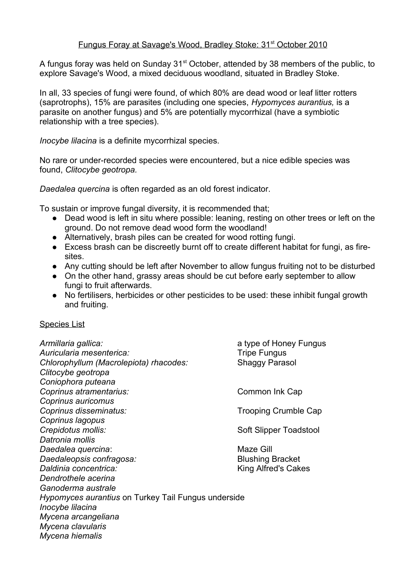## Fungus Foray at Savage's Wood, Bradley Stoke: 31<sup>st</sup> October 2010

A fungus foray was held on Sunday 31<sup>st</sup> October, attended by 38 members of the public, to explore Savage's Wood, a mixed deciduous woodland, situated in Bradley Stoke.

In all, 33 species of fungi were found, of which 80% are dead wood or leaf litter rotters (saprotrophs), 15% are parasites (including one species, *Hypomyces aurantius,* is a parasite on another fungus) and 5% are potentially mycorrhizal (have a symbiotic relationship with a tree species).

*Inocybe lilacina* is a definite mycorrhizal species.

No rare or under-recorded species were encountered, but a nice edible species was found, *Clitocybe geotropa.* 

*Daedalea quercina* is often regarded as an old forest indicator.

To sustain or improve fungal diversity, it is recommended that;

- Dead wood is left in situ where possible: leaning, resting on other trees or left on the ground. Do not remove dead wood form the woodland!
- Alternatively, brash piles can be created for wood rotting fungi.
- Excess brash can be discreetly burnt off to create different habitat for fungi, as firesites.
- Any cutting should be left after November to allow fungus fruiting not to be disturbed
- On the other hand, grassy areas should be cut before early september to allow fungi to fruit afterwards.
- No fertilisers, herbicides or other pesticides to be used: these inhibit fungal growth and fruiting.

## Species List

*Armillaria gallica:* a type of Honey Fungus Auricularia mesenterica: Tripe Fungus *Chlorophyllum (Macrolepiota) rhacodes:* Shaggy Parasol *Clitocybe geotropa Coniophora puteana* **Coprinus atramentarius: Common Ink Cap** *Coprinus auricomus* **Coprinus disseminatus:**  $\blacksquare$  Trooping Crumble Cap *Coprinus lagopus* **Crepidotus mollis: Soft Slipper Toadstool** *Datronia mollis* **Daedalea quercina:** Maze Gill **Daedaleopsis confragosa: Blushing Bracket Daldinia concentrica: Noting Alfred's Cakes** *Dendrothele acerina Ganoderma australe Hypomyces aurantius* on Turkey Tail Fungus underside *Inocybe lilacina Mycena arcangeliana Mycena clavularis Mycena hiemalis*